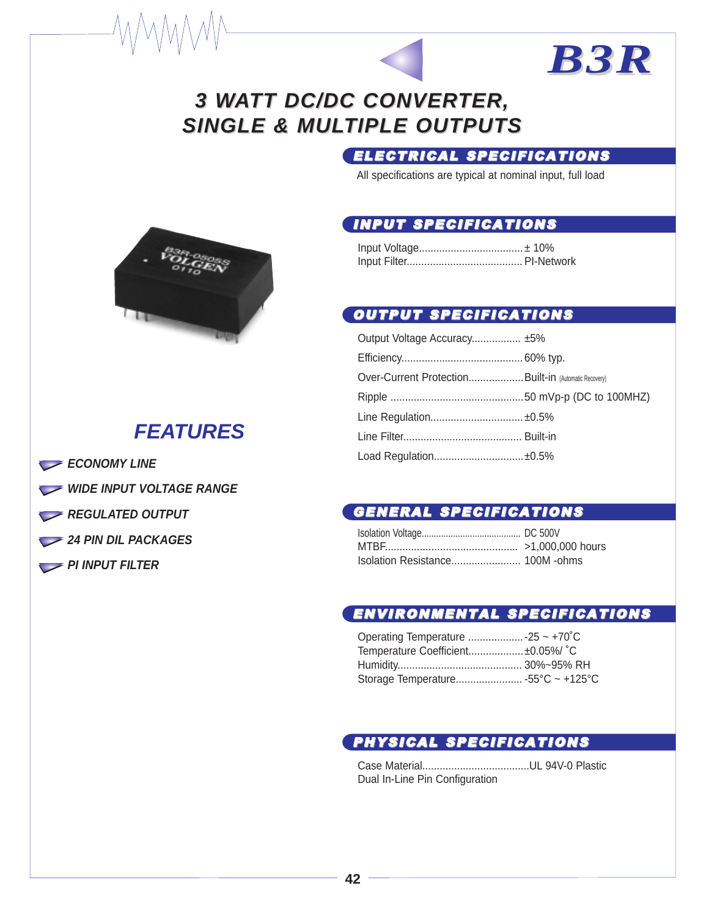## **3 WATT DC/DC CONVERTER, SINGLE & MULTIPLE OUTPUTS**

### ELECTRICAL SPECIFICATIONS

*B3R*

All specifications are typical at nominal input, full load

#### INPUT SPECIFICATIONS

#### OUTPUT SPECIFICATIONS

| Output Voltage Accuracy ±5%                          |  |
|------------------------------------------------------|--|
|                                                      |  |
| Over-Current ProtectionBuilt-in (Automatic Recovery) |  |
|                                                      |  |
| Line Regulation ±0.5%                                |  |
|                                                      |  |
| Load Regulation±0.5%                                 |  |

#### GENERAL SPECIFICATIONS

#### ENVIRONMENTAL SPECIFICATIONS

| Temperature Coefficient±0.05%/ °C |  |
|-----------------------------------|--|
|                                   |  |
|                                   |  |

### PHYSICAL SPECIFICATIONS

Case Material.....................................UL 94V-0 Plastic Dual In-Line Pin Configuration



## **FEATURES**

- **ECONOMY LINE**
- WIDE INPUT VOLTAGE RANGE
- **REGULATED OUTPUT**
- 24 PIN DIL PACKAGES
- **PI INPUT FILTER**